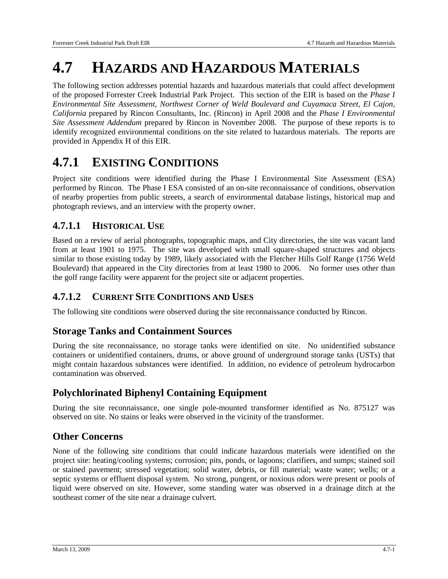# **4.7 HAZARDS AND HAZARDOUS MATERIALS**

The following section addresses potential hazards and hazardous materials that could affect development of the proposed Forrester Creek Industrial Park Project. This section of the EIR is based on the *Phase I Environmental Site Assessment, Northwest Corner of Weld Boulevard and Cuyamaca Street, El Cajon, California* prepared by Rincon Consultants, Inc. (Rincon) in April 2008 and the *Phase I Environmental Site Assessment Addendum* prepared by Rincon in November 2008. The purpose of these reports is to identify recognized environmental conditions on the site related to hazardous materials. The reports are provided in Appendix H of this EIR.

# **4.7.1 EXISTING CONDITIONS**

Project site conditions were identified during the Phase I Environmental Site Assessment (ESA) performed by Rincon. The Phase I ESA consisted of an on-site reconnaissance of conditions, observation of nearby properties from public streets, a search of environmental database listings, historical map and photograph reviews, and an interview with the property owner.

### **4.7.1.1 HISTORICAL USE**

Based on a review of aerial photographs, topographic maps, and City directories, the site was vacant land from at least 1901 to 1975. The site was developed with small square-shaped structures and objects similar to those existing today by 1989, likely associated with the Fletcher Hills Golf Range (1756 Weld Boulevard) that appeared in the City directories from at least 1980 to 2006. No former uses other than the golf range facility were apparent for the project site or adjacent properties.

### **4.7.1.2 CURRENT SITE CONDITIONS AND USES**

The following site conditions were observed during the site reconnaissance conducted by Rincon.

### **Storage Tanks and Containment Sources**

During the site reconnaissance, no storage tanks were identified on site. No unidentified substance containers or unidentified containers, drums, or above ground of underground storage tanks (USTs) that might contain hazardous substances were identified. In addition, no evidence of petroleum hydrocarbon contamination was observed.

### **Polychlorinated Biphenyl Containing Equipment**

During the site reconnaissance, one single pole-mounted transformer identified as No. 875127 was observed on site. No stains or leaks were observed in the vicinity of the transformer.

### **Other Concerns**

None of the following site conditions that could indicate hazardous materials were identified on the project site: heating/cooling systems; corrosion; pits, ponds, or lagoons; clarifiers, and sumps; stained soil or stained pavement; stressed vegetation; solid water, debris, or fill material; waste water; wells; or a septic systems or effluent disposal system. No strong, pungent, or noxious odors were present or pools of liquid were observed on site. However, some standing water was observed in a drainage ditch at the southeast corner of the site near a drainage culvert.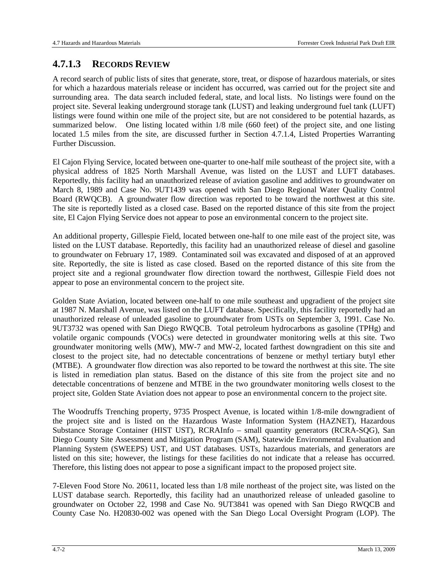### **4.7.1.3 RECORDS REVIEW**

A record search of public lists of sites that generate, store, treat, or dispose of hazardous materials, or sites for which a hazardous materials release or incident has occurred, was carried out for the project site and surrounding area. The data search included federal, state, and local lists. No listings were found on the project site. Several leaking underground storage tank (LUST) and leaking underground fuel tank (LUFT) listings were found within one mile of the project site, but are not considered to be potential hazards, as summarized below. One listing located within 1/8 mile (660 feet) of the project site, and one listing located 1.5 miles from the site, are discussed further in Section 4.7.1.4, Listed Properties Warranting Further Discussion.

El Cajon Flying Service, located between one-quarter to one-half mile southeast of the project site, with a physical address of 1825 North Marshall Avenue, was listed on the LUST and LUFT databases. Reportedly, this facility had an unauthorized release of aviation gasoline and additives to groundwater on March 8, 1989 and Case No. 9UT1439 was opened with San Diego Regional Water Quality Control Board (RWQCB). A groundwater flow direction was reported to be toward the northwest at this site. The site is reportedly listed as a closed case. Based on the reported distance of this site from the project site, El Cajon Flying Service does not appear to pose an environmental concern to the project site.

An additional property, Gillespie Field, located between one-half to one mile east of the project site, was listed on the LUST database. Reportedly, this facility had an unauthorized release of diesel and gasoline to groundwater on February 17, 1989. Contaminated soil was excavated and disposed of at an approved site. Reportedly, the site is listed as case closed. Based on the reported distance of this site from the project site and a regional groundwater flow direction toward the northwest, Gillespie Field does not appear to pose an environmental concern to the project site.

Golden State Aviation, located between one-half to one mile southeast and upgradient of the project site at 1987 N. Marshall Avenue, was listed on the LUFT database. Specifically, this facility reportedly had an unauthorized release of unleaded gasoline to groundwater from USTs on September 3, 1991. Case No. 9UT3732 was opened with San Diego RWQCB. Total petroleum hydrocarbons as gasoline (TPHg) and volatile organic compounds (VOCs) were detected in groundwater monitoring wells at this site. Two groundwater monitoring wells (MW), MW-7 and MW-2, located farthest downgradient on this site and closest to the project site, had no detectable concentrations of benzene or methyl tertiary butyl ether (MTBE). A groundwater flow direction was also reported to be toward the northwest at this site. The site is listed in remediation plan status. Based on the distance of this site from the project site and no detectable concentrations of benzene and MTBE in the two groundwater monitoring wells closest to the project site, Golden State Aviation does not appear to pose an environmental concern to the project site.

The Woodruffs Trenching property, 9735 Prospect Avenue, is located within 1/8-mile downgradient of the project site and is listed on the Hazardous Waste Information System (HAZNET), Hazardous Substance Storage Container (HIST UST), RCRAInfo – small quantity generators (RCRA-SQG), San Diego County Site Assessment and Mitigation Program (SAM), Statewide Environmental Evaluation and Planning System (SWEEPS) UST, and UST databases. USTs, hazardous materials, and generators are listed on this site; however, the listings for these facilities do not indicate that a release has occurred. Therefore, this listing does not appear to pose a significant impact to the proposed project site.

7-Eleven Food Store No. 20611, located less than 1/8 mile northeast of the project site, was listed on the LUST database search. Reportedly, this facility had an unauthorized release of unleaded gasoline to groundwater on October 22, 1998 and Case No. 9UT3841 was opened with San Diego RWQCB and County Case No. H20830-002 was opened with the San Diego Local Oversight Program (LOP). The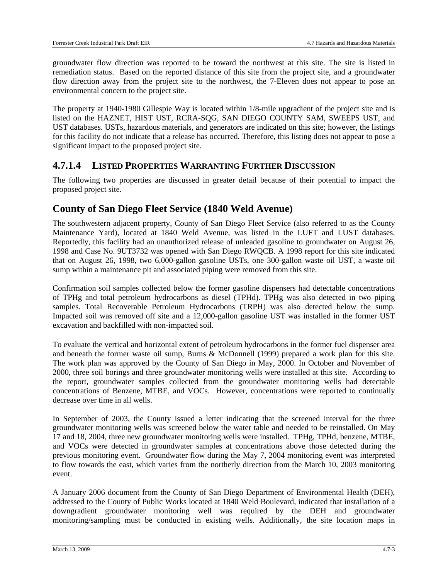groundwater flow direction was reported to be toward the northwest at this site. The site is listed in remediation status. Based on the reported distance of this site from the project site, and a groundwater flow direction away from the project site to the northwest, the 7-Eleven does not appear to pose an environmental concern to the project site.

The property at 1940-1980 Gillespie Way is located within 1/8-mile upgradient of the project site and is listed on the HAZNET, HIST UST, RCRA-SQG, SAN DIEGO COUNTY SAM, SWEEPS UST, and UST databases. USTs, hazardous materials, and generators are indicated on this site; however, the listings for this facility do not indicate that a release has occurred. Therefore, this listing does not appear to pose a significant impact to the proposed project site.

#### **4.7.1.4 LISTED PROPERTIES WARRANTING FURTHER DISCUSSION**

The following two properties are discussed in greater detail because of their potential to impact the proposed project site.

#### **County of San Diego Fleet Service (1840 Weld Avenue)**

The southwestern adjacent property, County of San Diego Fleet Service (also referred to as the County Maintenance Yard), located at 1840 Weld Avenue, was listed in the LUFT and LUST databases. Reportedly, this facility had an unauthorized release of unleaded gasoline to groundwater on August 26, 1998 and Case No. 9UT3732 was opened with San Diego RWQCB. A 1998 report for this site indicated that on August 26, 1998, two 6,000-gallon gasoline USTs, one 300-gallon waste oil UST, a waste oil sump within a maintenance pit and associated piping were removed from this site.

Confirmation soil samples collected below the former gasoline dispensers had detectable concentrations of TPHg and total petroleum hydrocarbons as diesel (TPHd). TPHg was also detected in two piping samples. Total Recoverable Petroleum Hydrocarbons (TRPH) was also detected below the sump. Impacted soil was removed off site and a 12,000-gallon gasoline UST was installed in the former UST excavation and backfilled with non-impacted soil.

To evaluate the vertical and horizontal extent of petroleum hydrocarbons in the former fuel dispenser area and beneath the former waste oil sump, Burns & McDonnell (1999) prepared a work plan for this site. The work plan was approved by the County of San Diego in May, 2000. In October and November of 2000, three soil borings and three groundwater monitoring wells were installed at this site. According to the report, groundwater samples collected from the groundwater monitoring wells had detectable concentrations of Benzene, MTBE, and VOCs. However, concentrations were reported to continually decrease over time in all wells.

In September of 2003, the County issued a letter indicating that the screened interval for the three groundwater monitoring wells was screened below the water table and needed to be reinstalled. On May 17 and 18, 2004, three new groundwater monitoring wells were installed. TPHg, TPHd, benzene, MTBE, and VOCs were detected in groundwater samples at concentrations above those detected during the previous monitoring event. Groundwater flow during the May 7, 2004 monitoring event was interpreted to flow towards the east, which varies from the northerly direction from the March 10, 2003 monitoring event.

A January 2006 document from the County of San Diego Department of Environmental Health (DEH), addressed to the County of Public Works located at 1840 Weld Boulevard, indicated that installation of a downgradient groundwater monitoring well was required by the DEH and groundwater monitoring/sampling must be conducted in existing wells. Additionally, the site location maps in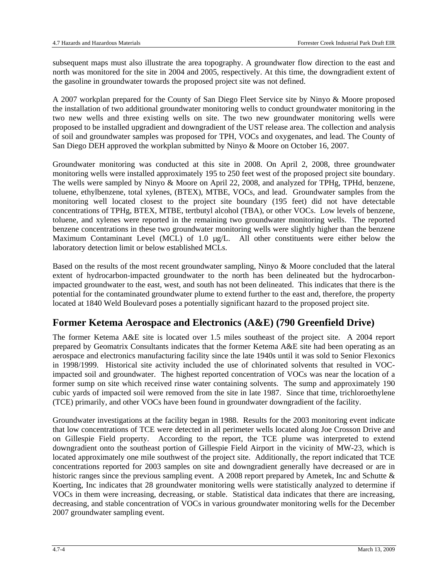subsequent maps must also illustrate the area topography. A groundwater flow direction to the east and north was monitored for the site in 2004 and 2005, respectively. At this time, the downgradient extent of the gasoline in groundwater towards the proposed project site was not defined.

A 2007 workplan prepared for the County of San Diego Fleet Service site by Ninyo & Moore proposed the installation of two additional groundwater monitoring wells to conduct groundwater monitoring in the two new wells and three existing wells on site. The two new groundwater monitoring wells were proposed to be installed upgradient and downgradient of the UST release area. The collection and analysis of soil and groundwater samples was proposed for TPH, VOCs and oxygenates, and lead. The County of San Diego DEH approved the workplan submitted by Ninyo & Moore on October 16, 2007.

Groundwater monitoring was conducted at this site in 2008. On April 2, 2008, three groundwater monitoring wells were installed approximately 195 to 250 feet west of the proposed project site boundary. The wells were sampled by Ninyo & Moore on April 22, 2008, and analyzed for TPHg, TPHd, benzene, toluene, ethylbenzene, total xylenes, (BTEX), MTBE, VOCs, and lead. Groundwater samples from the monitoring well located closest to the project site boundary (195 feet) did not have detectable concentrations of TPHg, BTEX, MTBE, tertbutyl alcohol (TBA), or other VOCs. Low levels of benzene, toluene, and xylenes were reported in the remaining two groundwater monitoring wells. The reported benzene concentrations in these two groundwater monitoring wells were slightly higher than the benzene Maximum Contaminant Level (MCL) of 1.0  $\mu$ g/L. All other constituents were either below the laboratory detection limit or below established MCLs.

Based on the results of the most recent groundwater sampling, Ninyo & Moore concluded that the lateral extent of hydrocarbon-impacted groundwater to the north has been delineated but the hydrocarbonimpacted groundwater to the east, west, and south has not been delineated. This indicates that there is the potential for the contaminated groundwater plume to extend further to the east and, therefore, the property located at 1840 Weld Boulevard poses a potentially significant hazard to the proposed project site.

### **Former Ketema Aerospace and Electronics (A&E) (790 Greenfield Drive)**

The former Ketema A&E site is located over 1.5 miles southeast of the project site. A 2004 report prepared by Geomatrix Consultants indicates that the former Ketema A&E site had been operating as an aerospace and electronics manufacturing facility since the late 1940s until it was sold to Senior Flexonics in 1998/1999. Historical site activity included the use of chlorinated solvents that resulted in VOCimpacted soil and groundwater. The highest reported concentration of VOCs was near the location of a former sump on site which received rinse water containing solvents. The sump and approximately 190 cubic yards of impacted soil were removed from the site in late 1987. Since that time, trichloroethylene (TCE) primarily, and other VOCs have been found in groundwater downgradient of the facility.

Groundwater investigations at the facility began in 1988. Results for the 2003 monitoring event indicate that low concentrations of TCE were detected in all perimeter wells located along Joe Crosson Drive and on Gillespie Field property. According to the report, the TCE plume was interpreted to extend downgradient onto the southeast portion of Gillespie Field Airport in the vicinity of MW-23, which is located approximately one mile southwest of the project site. Additionally, the report indicated that TCE concentrations reported for 2003 samples on site and downgradient generally have decreased or are in historic ranges since the previous sampling event. A 2008 report prepared by Ametek, Inc and Schutte & Koerting, Inc indicates that 28 groundwater monitoring wells were statistically analyzed to determine if VOCs in them were increasing, decreasing, or stable. Statistical data indicates that there are increasing, decreasing, and stable concentration of VOCs in various groundwater monitoring wells for the December 2007 groundwater sampling event.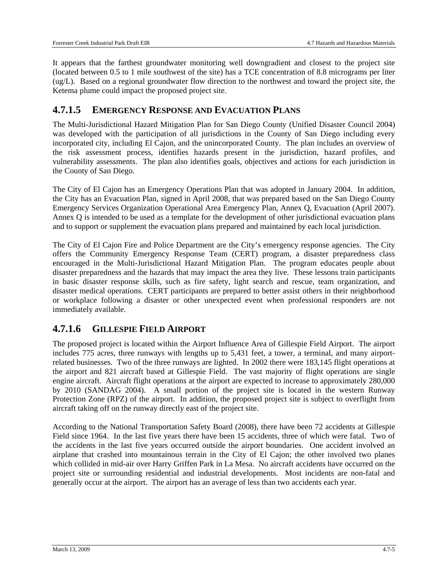It appears that the farthest groundwater monitoring well downgradient and closest to the project site (located between 0.5 to 1 mile southwest of the site) has a TCE concentration of 8.8 micrograms per liter (ug/L). Based on a regional groundwater flow direction to the northwest and toward the project site, the Ketema plume could impact the proposed project site.

#### **4.7.1.5 EMERGENCY RESPONSE AND EVACUATION PLANS**

The Multi-Jurisdictional Hazard Mitigation Plan for San Diego County (Unified Disaster Council 2004) was developed with the participation of all jurisdictions in the County of San Diego including every incorporated city, including El Cajon, and the unincorporated County. The plan includes an overview of the risk assessment process, identifies hazards present in the jurisdiction, hazard profiles, and vulnerability assessments. The plan also identifies goals, objectives and actions for each jurisdiction in the County of San Diego.

The City of El Cajon has an Emergency Operations Plan that was adopted in January 2004. In addition, the City has an Evacuation Plan, signed in April 2008, that was prepared based on the San Diego County Emergency Services Organization Operational Area Emergency Plan, Annex Q, Evacuation (April 2007). Annex Q is intended to be used as a template for the development of other jurisdictional evacuation plans and to support or supplement the evacuation plans prepared and maintained by each local jurisdiction.

The City of El Cajon Fire and Police Department are the City's emergency response agencies. The City offers the Community Emergency Response Team (CERT) program, a disaster preparedness class encouraged in the Multi-Jurisdictional Hazard Mitigation Plan. The program educates people about disaster preparedness and the hazards that may impact the area they live. These lessons train participants in basic disaster response skills, such as fire safety, light search and rescue, team organization, and disaster medical operations. CERT participants are prepared to better assist others in their neighborhood or workplace following a disaster or other unexpected event when professional responders are not immediately available.

### **4.7.1.6 GILLESPIE FIELD AIRPORT**

The proposed project is located within the Airport Influence Area of Gillespie Field Airport. The airport includes 775 acres, three runways with lengths up to 5,431 feet, a tower, a terminal, and many airportrelated businesses. Two of the three runways are lighted. In 2002 there were 183,145 flight operations at the airport and 821 aircraft based at Gillespie Field. The vast majority of flight operations are single engine aircraft. Aircraft flight operations at the airport are expected to increase to approximately 280,000 by 2010 (SANDAG 2004). A small portion of the project site is located in the western Runway Protection Zone (RPZ) of the airport. In addition, the proposed project site is subject to overflight from aircraft taking off on the runway directly east of the project site.

According to the National Transportation Safety Board (2008), there have been 72 accidents at Gillespie Field since 1964. In the last five years there have been 15 accidents, three of which were fatal. Two of the accidents in the last five years occurred outside the airport boundaries. One accident involved an airplane that crashed into mountainous terrain in the City of El Cajon; the other involved two planes which collided in mid-air over Harry Griffen Park in La Mesa. No aircraft accidents have occurred on the project site or surrounding residential and industrial developments. Most incidents are non-fatal and generally occur at the airport. The airport has an average of less than two accidents each year.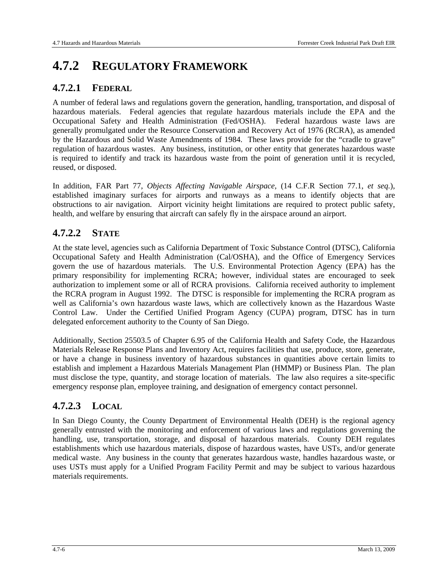# **4.7.2 REGULATORY FRAMEWORK**

### **4.7.2.1 FEDERAL**

A number of federal laws and regulations govern the generation, handling, transportation, and disposal of hazardous materials. Federal agencies that regulate hazardous materials include the EPA and the Occupational Safety and Health Administration (Fed/OSHA). Federal hazardous waste laws are generally promulgated under the Resource Conservation and Recovery Act of 1976 (RCRA), as amended by the Hazardous and Solid Waste Amendments of 1984. These laws provide for the "cradle to grave" regulation of hazardous wastes. Any business, institution, or other entity that generates hazardous waste is required to identify and track its hazardous waste from the point of generation until it is recycled, reused, or disposed.

In addition, FAR Part 77, *Objects Affecting Navigable Airspace,* (14 C.F.R Section 77.1, *et seq.*), established imaginary surfaces for airports and runways as a means to identify objects that are obstructions to air navigation. Airport vicinity height limitations are required to protect public safety, health, and welfare by ensuring that aircraft can safely fly in the airspace around an airport.

### **4.7.2.2 STATE**

At the state level, agencies such as California Department of Toxic Substance Control (DTSC), California Occupational Safety and Health Administration (Cal/OSHA), and the Office of Emergency Services govern the use of hazardous materials. The U.S. Environmental Protection Agency (EPA) has the primary responsibility for implementing RCRA; however, individual states are encouraged to seek authorization to implement some or all of RCRA provisions. California received authority to implement the RCRA program in August 1992. The DTSC is responsible for implementing the RCRA program as well as California's own hazardous waste laws, which are collectively known as the Hazardous Waste Control Law. Under the Certified Unified Program Agency (CUPA) program, DTSC has in turn delegated enforcement authority to the County of San Diego.

Additionally, Section 25503.5 of Chapter 6.95 of the California Health and Safety Code, the Hazardous Materials Release Response Plans and Inventory Act, requires facilities that use, produce, store, generate, or have a change in business inventory of hazardous substances in quantities above certain limits to establish and implement a Hazardous Materials Management Plan (HMMP) or Business Plan. The plan must disclose the type, quantity, and storage location of materials. The law also requires a site-specific emergency response plan, employee training, and designation of emergency contact personnel.

### **4.7.2.3 LOCAL**

In San Diego County, the County Department of Environmental Health (DEH) is the regional agency generally entrusted with the monitoring and enforcement of various laws and regulations governing the handling, use, transportation, storage, and disposal of hazardous materials. County DEH regulates establishments which use hazardous materials, dispose of hazardous wastes, have USTs, and/or generate medical waste. Any business in the county that generates hazardous waste, handles hazardous waste, or uses USTs must apply for a Unified Program Facility Permit and may be subject to various hazardous materials requirements.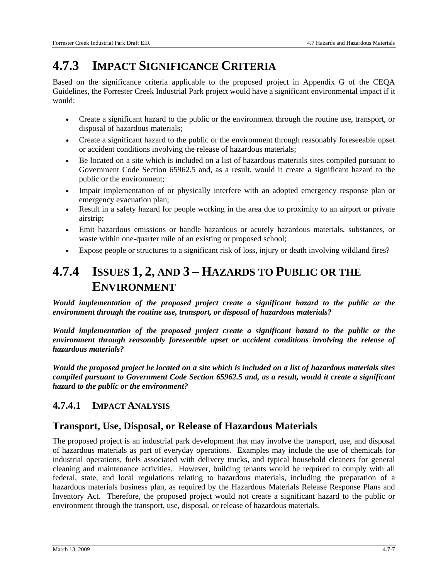# **4.7.3 IMPACT SIGNIFICANCE CRITERIA**

Based on the significance criteria applicable to the proposed project in Appendix G of the CEQA Guidelines, the Forrester Creek Industrial Park project would have a significant environmental impact if it would:

- Create a significant hazard to the public or the environment through the routine use, transport, or disposal of hazardous materials;
- Create a significant hazard to the public or the environment through reasonably foreseeable upset or accident conditions involving the release of hazardous materials;
- Be located on a site which is included on a list of hazardous materials sites compiled pursuant to Government Code Section 65962.5 and, as a result, would it create a significant hazard to the public or the environment;
- Impair implementation of or physically interfere with an adopted emergency response plan or emergency evacuation plan;
- Result in a safety hazard for people working in the area due to proximity to an airport or private airstrip;
- Emit hazardous emissions or handle hazardous or acutely hazardous materials, substances, or waste within one-quarter mile of an existing or proposed school;
- Expose people or structures to a significant risk of loss, injury or death involving wildland fires?

# **4.7.4 ISSUES 1, 2, AND 3 – HAZARDS TO PUBLIC OR THE ENVIRONMENT**

*Would implementation of the proposed project create a significant hazard to the public or the environment through the routine use, transport, or disposal of hazardous materials?* 

*Would implementation of the proposed project create a significant hazard to the public or the environment through reasonably foreseeable upset or accident conditions involving the release of hazardous materials?* 

*Would the proposed project be located on a site which is included on a list of hazardous materials sites compiled pursuant to Government Code Section 65962.5 and, as a result, would it create a significant hazard to the public or the environment?* 

### **4.7.4.1 IMPACT ANALYSIS**

### **Transport, Use, Disposal, or Release of Hazardous Materials**

The proposed project is an industrial park development that may involve the transport, use, and disposal of hazardous materials as part of everyday operations. Examples may include the use of chemicals for industrial operations, fuels associated with delivery trucks, and typical household cleaners for general cleaning and maintenance activities. However, building tenants would be required to comply with all federal, state, and local regulations relating to hazardous materials, including the preparation of a hazardous materials business plan, as required by the Hazardous Materials Release Response Plans and Inventory Act. Therefore, the proposed project would not create a significant hazard to the public or environment through the transport, use, disposal, or release of hazardous materials.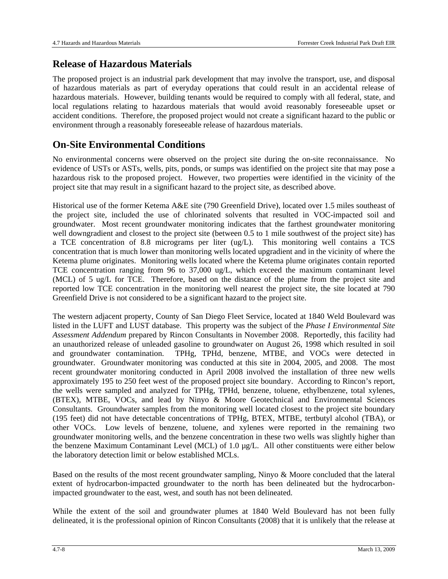#### **Release of Hazardous Materials**

The proposed project is an industrial park development that may involve the transport, use, and disposal of hazardous materials as part of everyday operations that could result in an accidental release of hazardous materials. However, building tenants would be required to comply with all federal, state, and local regulations relating to hazardous materials that would avoid reasonably foreseeable upset or accident conditions. Therefore, the proposed project would not create a significant hazard to the public or environment through a reasonably foreseeable release of hazardous materials.

#### **On-Site Environmental Conditions**

No environmental concerns were observed on the project site during the on-site reconnaissance. No evidence of USTs or ASTs, wells, pits, ponds, or sumps was identified on the project site that may pose a hazardous risk to the proposed project. However, two properties were identified in the vicinity of the project site that may result in a significant hazard to the project site, as described above.

Historical use of the former Ketema A&E site (790 Greenfield Drive), located over 1.5 miles southeast of the project site, included the use of chlorinated solvents that resulted in VOC-impacted soil and groundwater. Most recent groundwater monitoring indicates that the farthest groundwater monitoring well downgradient and closest to the project site (between 0.5 to 1 mile southwest of the project site) has a TCE concentration of 8.8 micrograms per liter (ug/L). This monitoring well contains a TCS concentration that is much lower than monitoring wells located upgradient and in the vicinity of where the Ketema plume originates. Monitoring wells located where the Ketema plume originates contain reported TCE concentration ranging from 96 to 37,000 ug/L, which exceed the maximum contaminant level (MCL) of 5 ug/L for TCE. Therefore, based on the distance of the plume from the project site and reported low TCE concentration in the monitoring well nearest the project site, the site located at 790 Greenfield Drive is not considered to be a significant hazard to the project site.

The western adjacent property, County of San Diego Fleet Service, located at 1840 Weld Boulevard was listed in the LUFT and LUST database. This property was the subject of the *Phase I Environmental Site Assessment Addendum* prepared by Rincon Consultants in November 2008. Reportedly, this facility had an unauthorized release of unleaded gasoline to groundwater on August 26, 1998 which resulted in soil and groundwater contamination. TPHg, TPHd, benzene, MTBE, and VOCs were detected in groundwater. Groundwater monitoring was conducted at this site in 2004, 2005, and 2008. The most recent groundwater monitoring conducted in April 2008 involved the installation of three new wells approximately 195 to 250 feet west of the proposed project site boundary. According to Rincon's report, the wells were sampled and analyzed for TPHg, TPHd, benzene, toluene, ethylbenzene, total xylenes, (BTEX), MTBE, VOCs, and lead by Ninyo & Moore Geotechnical and Environmental Sciences Consultants. Groundwater samples from the monitoring well located closest to the project site boundary (195 feet) did not have detectable concentrations of TPHg, BTEX, MTBE, tertbutyl alcohol (TBA), or other VOCs. Low levels of benzene, toluene, and xylenes were reported in the remaining two groundwater monitoring wells, and the benzene concentration in these two wells was slightly higher than the benzene Maximum Contaminant Level (MCL) of 1.0 µg/L. All other constituents were either below the laboratory detection limit or below established MCLs.

Based on the results of the most recent groundwater sampling, Ninyo & Moore concluded that the lateral extent of hydrocarbon-impacted groundwater to the north has been delineated but the hydrocarbonimpacted groundwater to the east, west, and south has not been delineated.

While the extent of the soil and groundwater plumes at 1840 Weld Boulevard has not been fully delineated, it is the professional opinion of Rincon Consultants (2008) that it is unlikely that the release at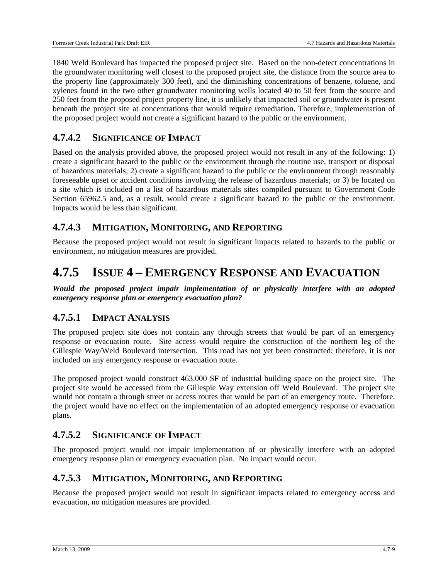1840 Weld Boulevard has impacted the proposed project site. Based on the non-detect concentrations in the groundwater monitoring well closest to the proposed project site, the distance from the source area to the property line (approximately 300 feet), and the diminishing concentrations of benzene, toluene, and xylenes found in the two other groundwater monitoring wells located 40 to 50 feet from the source and 250 feet from the proposed project property line, it is unlikely that impacted soil or groundwater is present beneath the project site at concentrations that would require remediation. Therefore, implementation of the proposed project would not create a significant hazard to the public or the environment.

#### **4.7.4.2 SIGNIFICANCE OF IMPACT**

Based on the analysis provided above, the proposed project would not result in any of the following: 1) create a significant hazard to the public or the environment through the routine use, transport or disposal of hazardous materials; 2) create a significant hazard to the public or the environment through reasonably foreseeable upset or accident conditions involving the release of hazardous materials; or 3) be located on a site which is included on a list of hazardous materials sites compiled pursuant to Government Code Section 65962.5 and, as a result, would create a significant hazard to the public or the environment. Impacts would be less than significant.

#### **4.7.4.3 MITIGATION, MONITORING, AND REPORTING**

Because the proposed project would not result in significant impacts related to hazards to the public or environment, no mitigation measures are provided.

# **4.7.5 ISSUE 4 – EMERGENCY RESPONSE AND EVACUATION**

*Would the proposed project impair implementation of or physically interfere with an adopted emergency response plan or emergency evacuation plan?* 

#### **4.7.5.1 IMPACT ANALYSIS**

The proposed project site does not contain any through streets that would be part of an emergency response or evacuation route. Site access would require the construction of the northern leg of the Gillespie Way/Weld Boulevard intersection. This road has not yet been constructed; therefore, it is not included on any emergency response or evacuation route.

The proposed project would construct 463,000 SF of industrial building space on the project site. The project site would be accessed from the Gillespie Way extension off Weld Boulevard. The project site would not contain a through street or access routes that would be part of an emergency route. Therefore, the project would have no effect on the implementation of an adopted emergency response or evacuation plans.

#### **4.7.5.2 SIGNIFICANCE OF IMPACT**

The proposed project would not impair implementation of or physically interfere with an adopted emergency response plan or emergency evacuation plan. No impact would occur.

#### **4.7.5.3 MITIGATION, MONITORING, AND REPORTING**

Because the proposed project would not result in significant impacts related to emergency access and evacuation, no mitigation measures are provided.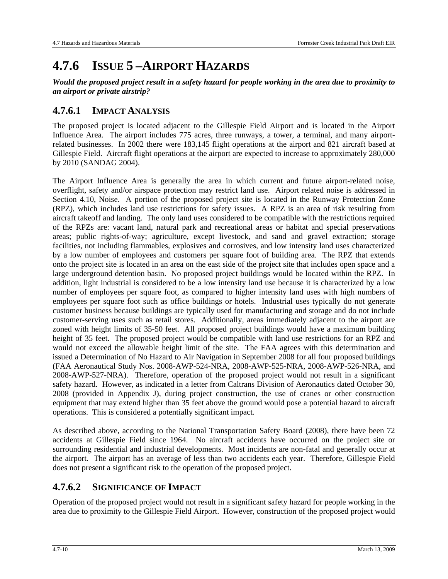# **4.7.6 ISSUE 5 –AIRPORT HAZARDS**

*Would the proposed project result in a safety hazard for people working in the area due to proximity to an airport or private airstrip?* 

#### **4.7.6.1 IMPACT ANALYSIS**

The proposed project is located adjacent to the Gillespie Field Airport and is located in the Airport Influence Area. The airport includes 775 acres, three runways, a tower, a terminal, and many airportrelated businesses. In 2002 there were 183,145 flight operations at the airport and 821 aircraft based at Gillespie Field. Aircraft flight operations at the airport are expected to increase to approximately 280,000 by 2010 (SANDAG 2004).

The Airport Influence Area is generally the area in which current and future airport-related noise, overflight, safety and/or airspace protection may restrict land use. Airport related noise is addressed in Section 4.10, Noise. A portion of the proposed project site is located in the Runway Protection Zone (RPZ), which includes land use restrictions for safety issues. A RPZ is an area of risk resulting from aircraft takeoff and landing. The only land uses considered to be compatible with the restrictions required of the RPZs are: vacant land, natural park and recreational areas or habitat and special preservations areas; public rights-of-way; agriculture, except livestock, and sand and gravel extraction; storage facilities, not including flammables, explosives and corrosives, and low intensity land uses characterized by a low number of employees and customers per square foot of building area. The RPZ that extends onto the project site is located in an area on the east side of the project site that includes open space and a large underground detention basin. No proposed project buildings would be located within the RPZ. In addition, light industrial is considered to be a low intensity land use because it is characterized by a low number of employees per square foot, as compared to higher intensity land uses with high numbers of employees per square foot such as office buildings or hotels. Industrial uses typically do not generate customer business because buildings are typically used for manufacturing and storage and do not include customer-serving uses such as retail stores. Additionally, areas immediately adjacent to the airport are zoned with height limits of 35-50 feet. All proposed project buildings would have a maximum building height of 35 feet. The proposed project would be compatible with land use restrictions for an RPZ and would not exceed the allowable height limit of the site. The FAA agrees with this determination and issued a Determination of No Hazard to Air Navigation in September 2008 for all four proposed buildings (FAA Aeronautical Study Nos. 2008-AWP-524-NRA, 2008-AWP-525-NRA, 2008-AWP-526-NRA, and 2008-AWP-527-NRA). Therefore, operation of the proposed project would not result in a significant safety hazard. However, as indicated in a letter from Caltrans Division of Aeronautics dated October 30, 2008 (provided in Appendix J), during project construction, the use of cranes or other construction equipment that may extend higher than 35 feet above the ground would pose a potential hazard to aircraft operations. This is considered a potentially significant impact.

As described above, according to the National Transportation Safety Board (2008), there have been 72 accidents at Gillespie Field since 1964. No aircraft accidents have occurred on the project site or surrounding residential and industrial developments. Most incidents are non-fatal and generally occur at the airport. The airport has an average of less than two accidents each year. Therefore, Gillespie Field does not present a significant risk to the operation of the proposed project.

### **4.7.6.2 SIGNIFICANCE OF IMPACT**

Operation of the proposed project would not result in a significant safety hazard for people working in the area due to proximity to the Gillespie Field Airport. However, construction of the proposed project would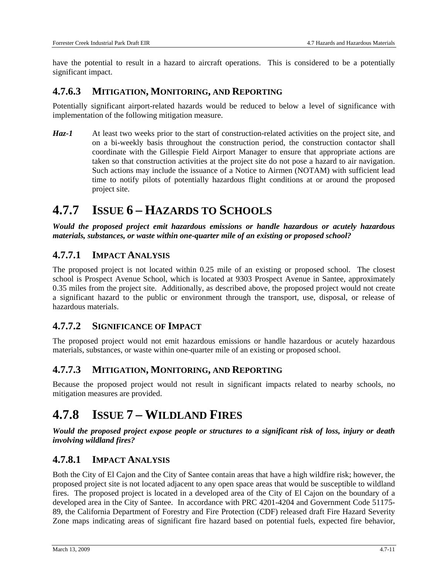have the potential to result in a hazard to aircraft operations. This is considered to be a potentially significant impact.

#### **4.7.6.3 MITIGATION, MONITORING, AND REPORTING**

Potentially significant airport-related hazards would be reduced to below a level of significance with implementation of the following mitigation measure.

*Haz-1* At least two weeks prior to the start of construction-related activities on the project site, and on a bi-weekly basis throughout the construction period, the construction contactor shall coordinate with the Gillespie Field Airport Manager to ensure that appropriate actions are taken so that construction activities at the project site do not pose a hazard to air navigation. Such actions may include the issuance of a Notice to Airmen (NOTAM) with sufficient lead time to notify pilots of potentially hazardous flight conditions at or around the proposed project site.

### **4.7.7 ISSUE 6 – HAZARDS TO SCHOOLS**

*Would the proposed project emit hazardous emissions or handle hazardous or acutely hazardous materials, substances, or waste within one-quarter mile of an existing or proposed school?* 

#### **4.7.7.1 IMPACT ANALYSIS**

The proposed project is not located within 0.25 mile of an existing or proposed school. The closest school is Prospect Avenue School, which is located at 9303 Prospect Avenue in Santee, approximately 0.35 miles from the project site. Additionally, as described above, the proposed project would not create a significant hazard to the public or environment through the transport, use, disposal, or release of hazardous materials.

#### **4.7.7.2 SIGNIFICANCE OF IMPACT**

The proposed project would not emit hazardous emissions or handle hazardous or acutely hazardous materials, substances, or waste within one-quarter mile of an existing or proposed school.

#### **4.7.7.3 MITIGATION, MONITORING, AND REPORTING**

Because the proposed project would not result in significant impacts related to nearby schools, no mitigation measures are provided.

# **4.7.8 ISSUE 7 – WILDLAND FIRES**

*Would the proposed project expose people or structures to a significant risk of loss, injury or death involving wildland fires?* 

#### **4.7.8.1 IMPACT ANALYSIS**

Both the City of El Cajon and the City of Santee contain areas that have a high wildfire risk; however, the proposed project site is not located adjacent to any open space areas that would be susceptible to wildland fires. The proposed project is located in a developed area of the City of El Cajon on the boundary of a developed area in the City of Santee. In accordance with PRC 4201-4204 and Government Code 51175- 89, the California Department of Forestry and Fire Protection (CDF) released draft Fire Hazard Severity Zone maps indicating areas of significant fire hazard based on potential fuels, expected fire behavior,